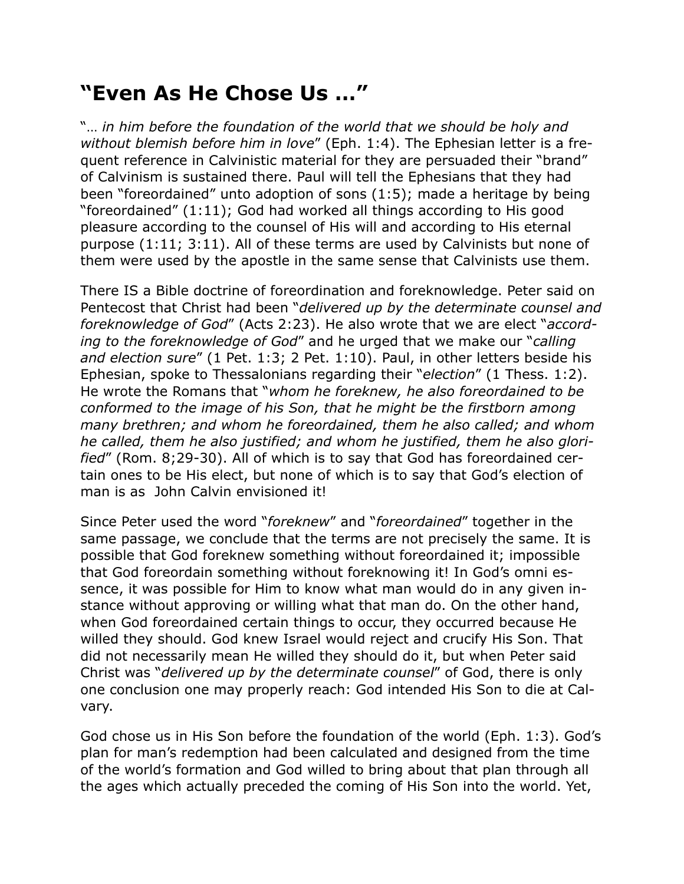## **"Even As He Chose Us …"**

"… *in him before the foundation of the world that we should be holy and without blemish before him in love*" (Eph. 1:4). The Ephesian letter is a frequent reference in Calvinistic material for they are persuaded their "brand" of Calvinism is sustained there. Paul will tell the Ephesians that they had been "foreordained" unto adoption of sons (1:5); made a heritage by being "foreordained" (1:11); God had worked all things according to His good pleasure according to the counsel of His will and according to His eternal purpose (1:11; 3:11). All of these terms are used by Calvinists but none of them were used by the apostle in the same sense that Calvinists use them.

There IS a Bible doctrine of foreordination and foreknowledge. Peter said on Pentecost that Christ had been "*delivered up by the determinate counsel and foreknowledge of God*" (Acts 2:23). He also wrote that we are elect "*according to the foreknowledge of God*" and he urged that we make our "*calling and election sure*" (1 Pet. 1:3; 2 Pet. 1:10). Paul, in other letters beside his Ephesian, spoke to Thessalonians regarding their "*election*" (1 Thess. 1:2). He wrote the Romans that "*whom he foreknew, he also foreordained to be conformed to the image of his Son, that he might be the firstborn among many brethren; and whom he foreordained, them he also called; and whom he called, them he also justified; and whom he justified, them he also glorified*" (Rom. 8;29-30). All of which is to say that God has foreordained certain ones to be His elect, but none of which is to say that God's election of man is as John Calvin envisioned it!

Since Peter used the word "*foreknew*" and "*foreordained*" together in the same passage, we conclude that the terms are not precisely the same. It is possible that God foreknew something without foreordained it; impossible that God foreordain something without foreknowing it! In God's omni essence, it was possible for Him to know what man would do in any given instance without approving or willing what that man do. On the other hand, when God foreordained certain things to occur, they occurred because He willed they should. God knew Israel would reject and crucify His Son. That did not necessarily mean He willed they should do it, but when Peter said Christ was "*delivered up by the determinate counsel*" of God, there is only one conclusion one may properly reach: God intended His Son to die at Calvary.

God chose us in His Son before the foundation of the world (Eph. 1:3). God's plan for man's redemption had been calculated and designed from the time of the world's formation and God willed to bring about that plan through all the ages which actually preceded the coming of His Son into the world. Yet,